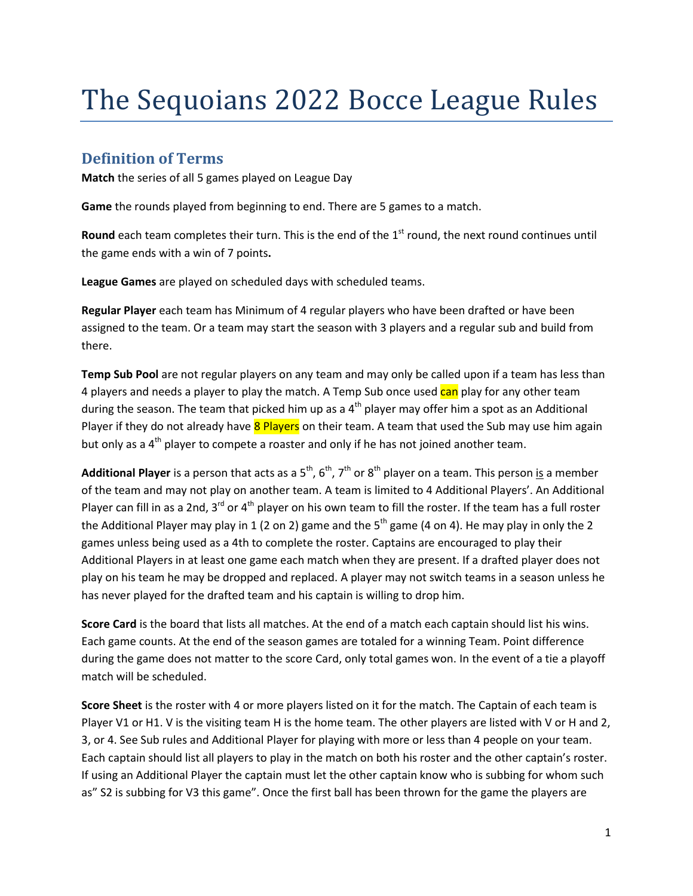## The Sequoians 2022 Bocce League Rules

## **Definition of Terms**

**Match** the series of all 5 games played on League Day

**Game** the rounds played from beginning to end. There are 5 games to a match.

Round each team completes their turn. This is the end of the 1<sup>st</sup> round, the next round continues until the game ends with a win of 7 points**.**

**League Games** are played on scheduled days with scheduled teams.

**Regular Player** each team has Minimum of 4 regular players who have been drafted or have been assigned to the team. Or a team may start the season with 3 players and a regular sub and build from there.

**Temp Sub Pool** are not regular players on any team and may only be called upon if a team has less than 4 players and needs a player to play the match. A Temp Sub once used can play for any other team during the season. The team that picked him up as a  $4<sup>th</sup>$  player may offer him a spot as an Additional Player if they do not already have 8 Players on their team. A team that used the Sub may use him again but only as a  $4<sup>th</sup>$  player to compete a roaster and only if he has not joined another team.

**Additional Player** is a person that acts as a 5<sup>th</sup>, 6<sup>th</sup>, 7<sup>th</sup> or 8<sup>th</sup> player on a team. This person is a member of the team and may not play on another team. A team is limited to 4 Additional Players'. An Additional Player can fill in as a 2nd, 3<sup>rd</sup> or 4<sup>th</sup> player on his own team to fill the roster. If the team has a full roster the Additional Player may play in 1 (2 on 2) game and the  $5<sup>th</sup>$  game (4 on 4). He may play in only the 2 games unless being used as a 4th to complete the roster. Captains are encouraged to play their Additional Players in at least one game each match when they are present. If a drafted player does not play on his team he may be dropped and replaced. A player may not switch teams in a season unless he has never played for the drafted team and his captain is willing to drop him.

**Score Card** is the board that lists all matches. At the end of a match each captain should list his wins. Each game counts. At the end of the season games are totaled for a winning Team. Point difference during the game does not matter to the score Card, only total games won. In the event of a tie a playoff match will be scheduled.

**Score Sheet** is the roster with 4 or more players listed on it for the match. The Captain of each team is Player V1 or H1. V is the visiting team H is the home team. The other players are listed with V or H and 2, 3, or 4. See Sub rules and Additional Player for playing with more or less than 4 people on your team. Each captain should list all players to play in the match on both his roster and the other captain's roster. If using an Additional Player the captain must let the other captain know who is subbing for whom such as" S2 is subbing for V3 this game". Once the first ball has been thrown for the game the players are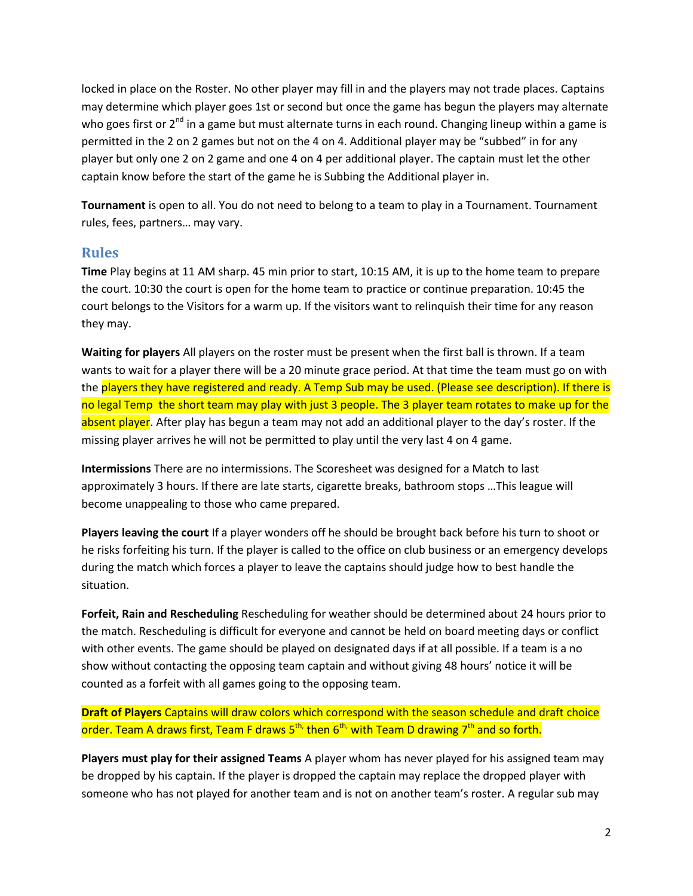locked in place on the Roster. No other player may fill in and the players may not trade places. Captains may determine which player goes 1st or second but once the game has begun the players may alternate who goes first or  $2^{nd}$  in a game but must alternate turns in each round. Changing lineup within a game is permitted in the 2 on 2 games but not on the 4 on 4. Additional player may be "subbed" in for any player but only one 2 on 2 game and one 4 on 4 per additional player. The captain must let the other captain know before the start of the game he is Subbing the Additional player in.

**Tournament** is open to all. You do not need to belong to a team to play in a Tournament. Tournament rules, fees, partners… may vary.

## **Rules**

**Time** Play begins at 11 AM sharp. 45 min prior to start, 10:15 AM, it is up to the home team to prepare the court. 10:30 the court is open for the home team to practice or continue preparation. 10:45 the court belongs to the Visitors for a warm up. If the visitors want to relinquish their time for any reason they may.

**Waiting for players** All players on the roster must be present when the first ball is thrown. If a team wants to wait for a player there will be a 20 minute grace period. At that time the team must go on with the players they have registered and ready. A Temp Sub may be used. (Please see description). If there is no legal Temp the short team may play with just 3 people. The 3 player team rotates to make up for the absent player. After play has begun a team may not add an additional player to the day's roster. If the missing player arrives he will not be permitted to play until the very last 4 on 4 game.

**Intermissions** There are no intermissions. The Scoresheet was designed for a Match to last approximately 3 hours. If there are late starts, cigarette breaks, bathroom stops …This league will become unappealing to those who came prepared.

**Players leaving the court** If a player wonders off he should be brought back before his turn to shoot or he risks forfeiting his turn. If the player is called to the office on club business or an emergency develops during the match which forces a player to leave the captains should judge how to best handle the situation.

**Forfeit, Rain and Rescheduling** Rescheduling for weather should be determined about 24 hours prior to the match. Rescheduling is difficult for everyone and cannot be held on board meeting days or conflict with other events. The game should be played on designated days if at all possible. If a team is a no show without contacting the opposing team captain and without giving 48 hours' notice it will be counted as a forfeit with all games going to the opposing team.

**Draft of Players** Captains will draw colors which correspond with the season schedule and draft choice order. Team A draws first, Team F draws 5<sup>th,</sup> then 6<sup>th,</sup> with Team D drawing 7<sup>th</sup> and so forth.

**Players must play for their assigned Teams** A player whom has never played for his assigned team may be dropped by his captain. If the player is dropped the captain may replace the dropped player with someone who has not played for another team and is not on another team's roster. A regular sub may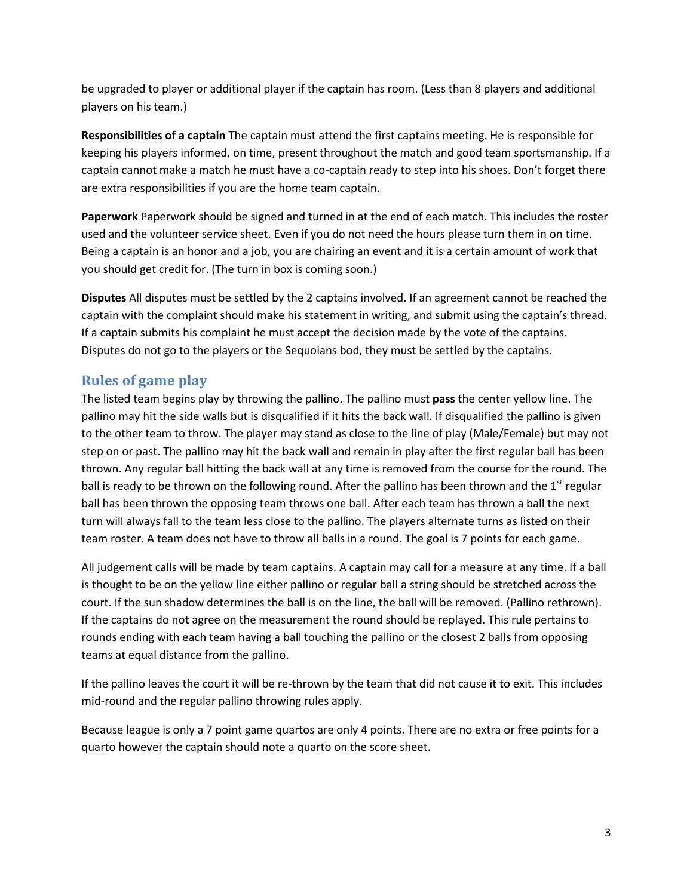be upgraded to player or additional player if the captain has room. (Less than 8 players and additional players on his team.)

**Responsibilities of a captain** The captain must attend the first captains meeting. He is responsible for keeping his players informed, on time, present throughout the match and good team sportsmanship. If a captain cannot make a match he must have a co-captain ready to step into his shoes. Don't forget there are extra responsibilities if you are the home team captain.

**Paperwork** Paperwork should be signed and turned in at the end of each match. This includes the roster used and the volunteer service sheet. Even if you do not need the hours please turn them in on time. Being a captain is an honor and a job, you are chairing an event and it is a certain amount of work that you should get credit for. (The turn in box is coming soon.)

**Disputes** All disputes must be settled by the 2 captains involved. If an agreement cannot be reached the captain with the complaint should make his statement in writing, and submit using the captain's thread. If a captain submits his complaint he must accept the decision made by the vote of the captains. Disputes do not go to the players or the Sequoians bod, they must be settled by the captains.

## **Rules of game play**

The listed team begins play by throwing the pallino. The pallino must **pass** the center yellow line. The pallino may hit the side walls but is disqualified if it hits the back wall. If disqualified the pallino is given to the other team to throw. The player may stand as close to the line of play (Male/Female) but may not step on or past. The pallino may hit the back wall and remain in play after the first regular ball has been thrown. Any regular ball hitting the back wall at any time is removed from the course for the round. The ball is ready to be thrown on the following round. After the pallino has been thrown and the  $1<sup>st</sup>$  regular ball has been thrown the opposing team throws one ball. After each team has thrown a ball the next turn will always fall to the team less close to the pallino. The players alternate turns as listed on their team roster. A team does not have to throw all balls in a round. The goal is 7 points for each game.

All judgement calls will be made by team captains. A captain may call for a measure at any time. If a ball is thought to be on the yellow line either pallino or regular ball a string should be stretched across the court. If the sun shadow determines the ball is on the line, the ball will be removed. (Pallino rethrown). If the captains do not agree on the measurement the round should be replayed. This rule pertains to rounds ending with each team having a ball touching the pallino or the closest 2 balls from opposing teams at equal distance from the pallino.

If the pallino leaves the court it will be re-thrown by the team that did not cause it to exit. This includes mid-round and the regular pallino throwing rules apply.

Because league is only a 7 point game quartos are only 4 points. There are no extra or free points for a quarto however the captain should note a quarto on the score sheet.